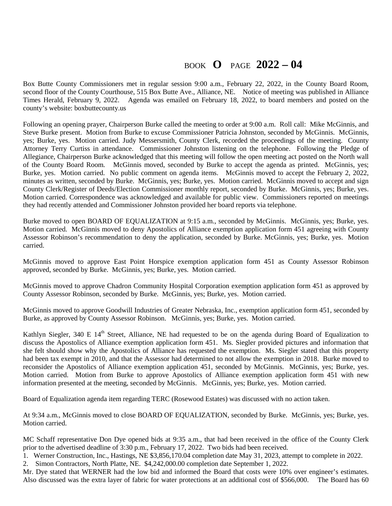## BOOK **O** PAGE **2022 – 04**

Box Butte County Commissioners met in regular session 9:00 a.m., February 22, 2022, in the County Board Room, second floor of the County Courthouse, 515 Box Butte Ave., Alliance, NE. Notice of meeting was published in Alliance Times Herald, February 9, 2022. Agenda was emailed on February 18, 2022, to board members and posted on the county's website: boxbuttecounty.us

Following an opening prayer, Chairperson Burke called the meeting to order at 9:00 a.m. Roll call: Mike McGinnis, and Steve Burke present. Motion from Burke to excuse Commissioner Patricia Johnston, seconded by McGinnis. McGinnis, yes; Burke, yes. Motion carried. Judy Messersmith, County Clerk, recorded the proceedings of the meeting. County Attorney Terry Curtiss in attendance. Commissioner Johnston listening on the telephone. Following the Pledge of Allegiance, Chairperson Burke acknowledged that this meeting will follow the open meeting act posted on the North wall of the County Board Room. McGinnis moved, seconded by Burke to accept the agenda as printed. McGinnis, yes; Burke, yes. Motion carried. No public comment on agenda items. McGinnis moved to accept the February 2, 2022, minutes as written, seconded by Burke. McGinnis, yes; Burke, yes. Motion carried. McGinnis moved to accept and sign County Clerk/Register of Deeds/Election Commissioner monthly report, seconded by Burke. McGinnis, yes; Burke, yes. Motion carried. Correspondence was acknowledged and available for public view. Commissioners reported on meetings they had recently attended and Commissioner Johnston provided her board reports via telephone.

Burke moved to open BOARD OF EQUALIZATION at 9:15 a.m., seconded by McGinnis. McGinnis, yes; Burke, yes. Motion carried. McGinnis moved to deny Apostolics of Alliance exemption application form 451 agreeing with County Assessor Robinson's recommendation to deny the application, seconded by Burke. McGinnis, yes; Burke, yes. Motion carried.

McGinnis moved to approve East Point Horspice exemption application form 451 as County Assessor Robinson approved, seconded by Burke. McGinnis, yes; Burke, yes. Motion carried.

McGinnis moved to approve Chadron Community Hospital Corporation exemption application form 451 as approved by County Assessor Robinson, seconded by Burke. McGinnis, yes; Burke, yes. Motion carried.

McGinnis moved to approve Goodwill Industries of Greater Nebraska, Inc., exemption application form 451, seconded by Burke, as approved by County Assessor Robinson. McGinnis, yes; Burke, yes. Motion carried.

Kathlyn Siegler, 340 E 14<sup>th</sup> Street, Alliance, NE had requested to be on the agenda during Board of Equalization to discuss the Apostolics of Alliance exemption application form 451. Ms. Siegler provided pictures and information that she felt should show why the Apostolics of Alliance has requested the exemption. Ms. Siegler stated that this property had been tax exempt in 2010, and that the Assessor had determined to not allow the exemption in 2018. Burke moved to reconsider the Apostolics of Alliance exemption application 451, seconded by McGinnis. McGinnis, yes; Burke, yes. Motion carried. Motion from Burke to approve Apostolics of Alliance exemption application form 451 with new information presented at the meeting, seconded by McGinnis. McGinnis, yes; Burke, yes. Motion carried.

Board of Equalization agenda item regarding TERC (Rosewood Estates) was discussed with no action taken.

At 9:34 a.m., McGinnis moved to close BOARD OF EQUALIZATION, seconded by Burke. McGinnis, yes; Burke, yes. Motion carried.

MC Schaff representative Don Dye opened bids at 9:35 a.m., that had been received in the office of the County Clerk prior to the advertised deadline of 3:30 p.m., February 17, 2022. Two bids had been received.

1. Werner Construction, Inc., Hastings, NE \$3,856,170.04 completion date May 31, 2023, attempt to complete in 2022.

2. Simon Contractors, North Platte, NE. \$4,242,000.00 completion date September 1, 2022.

Mr. Dye stated that WERNER had the low bid and informed the Board that costs were 10% over engineer's estimates. Also discussed was the extra layer of fabric for water protections at an additional cost of \$566,000. The Board has 60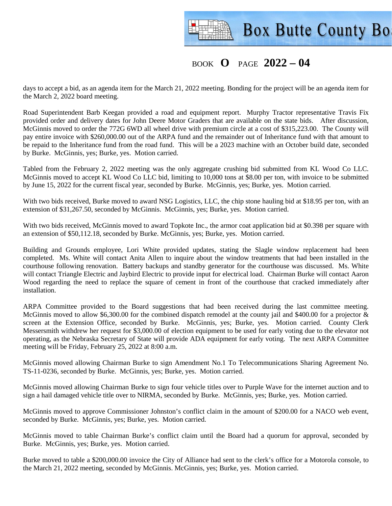

## BOOK **O** PAGE **2022 – 04**

days to accept a bid, as an agenda item for the March 21, 2022 meeting. Bonding for the project will be an agenda item for the March 2, 2022 board meeting.

Road Superintendent Barb Keegan provided a road and equipment report. Murphy Tractor representative Travis Fix provided order and delivery dates for John Deere Motor Graders that are available on the state bids. After discussion, McGinnis moved to order the 772G 6WD all wheel drive with premium circle at a cost of \$315,223.00. The County will pay entire invoice with \$260,000.00 out of the ARPA fund and the remainder out of Inheritance fund with that amount to be repaid to the Inheritance fund from the road fund. This will be a 2023 machine with an October build date, seconded by Burke. McGinnis, yes; Burke, yes. Motion carried.

Tabled from the February 2, 2022 meeting was the only aggregate crushing bid submitted from KL Wood Co LLC. McGinnis moved to accept KL Wood Co LLC bid, limiting to 10,000 tons at \$8.00 per ton, with invoice to be submitted by June 15, 2022 for the current fiscal year, seconded by Burke. McGinnis, yes; Burke, yes. Motion carried.

With two bids received, Burke moved to award NSG Logistics, LLC, the chip stone hauling bid at \$18.95 per ton, with an extension of \$31,267.50, seconded by McGinnis. McGinnis, yes; Burke, yes. Motion carried.

With two bids received, McGinnis moved to award Topkote Inc., the armor coat application bid at \$0.398 per square with an extension of \$50,112.18, seconded by Burke. McGinnis, yes; Burke, yes. Motion carried.

Building and Grounds employee, Lori White provided updates, stating the Slagle window replacement had been completed. Ms. White will contact Anita Allen to inquire about the window treatments that had been installed in the courthouse following renovation. Battery backups and standby generator for the courthouse was discussed. Ms. White will contact Triangle Electric and Jaybird Electric to provide input for electrical load. Chairman Burke will contact Aaron Wood regarding the need to replace the square of cement in front of the courthouse that cracked immediately after installation.

ARPA Committee provided to the Board suggestions that had been received during the last committee meeting. McGinnis moved to allow \$6,300.00 for the combined dispatch remodel at the county jail and \$400.00 for a projector & screen at the Extension Office, seconded by Burke. McGinnis, yes; Burke, yes. Motion carried. County Clerk Messersmith withdrew her request for \$3,000.00 of election equipment to be used for early voting due to the elevator not operating, as the Nebraska Secretary of State will provide ADA equipment for early voting. The next ARPA Committee meeting will be Friday, February 25, 2022 at 8:00 a.m.

McGinnis moved allowing Chairman Burke to sign Amendment No.1 To Telecommunications Sharing Agreement No. TS-11-0236, seconded by Burke. McGinnis, yes; Burke, yes. Motion carried.

McGinnis moved allowing Chairman Burke to sign four vehicle titles over to Purple Wave for the internet auction and to sign a hail damaged vehicle title over to NIRMA, seconded by Burke. McGinnis, yes; Burke, yes. Motion carried.

McGinnis moved to approve Commissioner Johnston's conflict claim in the amount of \$200.00 for a NACO web event, seconded by Burke. McGinnis, yes; Burke, yes. Motion carried.

McGinnis moved to table Chairman Burke's conflict claim until the Board had a quorum for approval, seconded by Burke. McGinnis, yes; Burke, yes. Motion carried.

Burke moved to table a \$200,000.00 invoice the City of Alliance had sent to the clerk's office for a Motorola console, to the March 21, 2022 meeting, seconded by McGinnis. McGinnis, yes; Burke, yes. Motion carried.